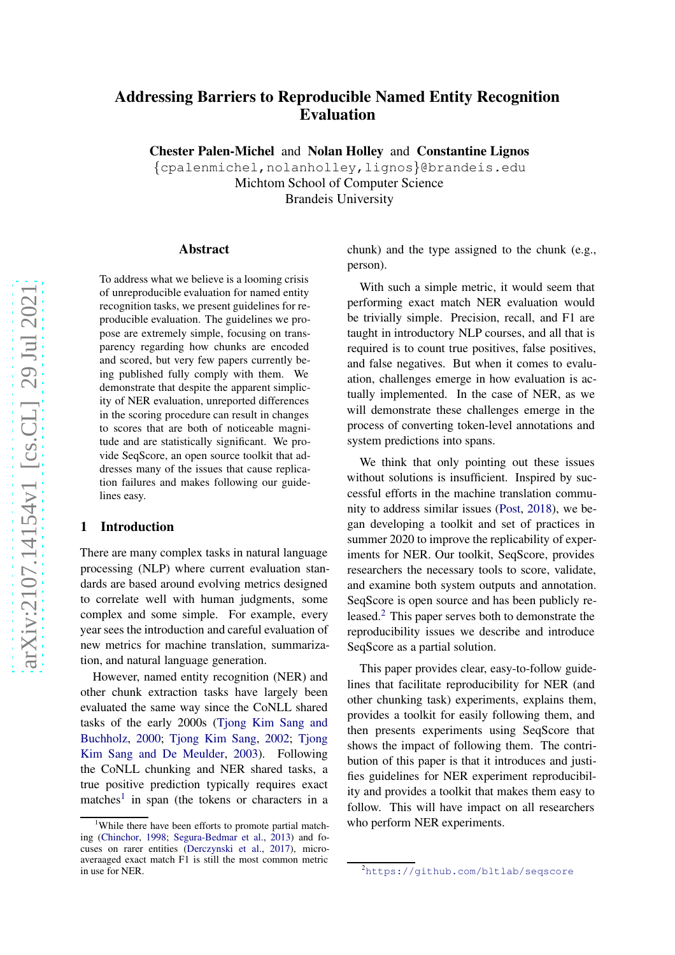# Addressing Barriers to Reproducible Named Entity Recognition Evaluation

Chester Palen-Michel and Nolan Holley and Constantine Lignos

{cpalenmichel,nolanholley,lignos}@brandeis.edu Michtom School of Computer Science Brandeis University

# Abstract

To address what we believe is a looming crisis of unreproducible evaluation for named entity recognition tasks, we present guidelines for reproducible evaluation. The guidelines we propose are extremely simple, focusing on transparency regarding how chunks are encoded and scored, but very few papers currently being published fully comply with them. We demonstrate that despite the apparent simplicity of NER evaluation, unreported differences in the scoring procedure can result in changes to scores that are both of noticeable magnitude and are statistically significant. We provide SeqScore, an open source toolkit that addresses many of the issues that cause replication failures and makes following our guidelines easy.

# 1 Introduction

There are many complex tasks in natural language processing (NLP) where current evaluation standards are based around evolving metrics designed to correlate well with human judgments, some complex and some simple. For example, every year sees the introduction and careful evaluation of new metrics for machine translation, summarization, and natural language generation.

However, named entity recognition (NER) and other chunk extraction tasks have largely been evaluated the same way since the CoNLL shared tasks of [the early 2000s \(](#page-9-0)Tjong Kim Sang and Buchholz , [2000](#page-9-0) ; [Tjong Kim Sang](#page-9-1) , [2002](#page-9-1) ; Tjong Kim Sang and De Meulder , [2003\)](#page-9-2). Following the CoNLL chunking and NER shared tasks, a true positive prediction typically requires exact matches<sup>[1](#page-0-0)</sup> in span (the tokens or characters in a

chunk) and the type assigned to the chunk (e.g., person).

With such a simple metric, it would seem that performing exact match NER evaluation would be trivially simple. Precision, recall, and F1 are taught in introductory NLP courses, and all that is required is to count true positives, false positives, and false negatives. But when it comes to evaluation, challenges emerge in how evaluation is actually implemented. In the case of NER, as we will demonstrate these challenges emerge in the process of converting token-level annotations and system predictions into spans.

We think that only pointing out these issues without solutions is insufficient. Inspired by successful efforts in the machine translation community to address similar issues [\(Post,](#page-8-2) [2018](#page-8-2)), we began developing a toolkit and set of practices in summer 2020 to improve the replicability of experiments for NER. Our toolkit, SeqScore, provides researchers the necessary tools to score, validate, and examine both system outputs and annotation. SeqScore is open source and has been publicly released.[2](#page-0-1) This paper serves both to demonstrate the reproducibility issues we describe and introduce SeqScore as a partial solution.

This paper provides clear, easy-to-follow guidelines that facilitate reproducibility for NER (and other chunking task) experiments, explains them, provides a toolkit for easily following them, and then presents experiments using SeqScore that shows the impact of following them. The contribution of this paper is that it introduces and justifies guidelines for NER experiment reproducibility and provides a toolkit that makes them easy to follow. This will have impact on all researchers who perform NER experiments.

<span id="page-0-0"></span><sup>1</sup>While there have been efforts to promote partial matching [\(Chinchor,](#page-8-0) [1998;](#page-8-0) [Segura-Bedmar et al.](#page-9-3), [2013](#page-9-3)) and focuses on rarer entities [\(Derczynski et al.,](#page-8-1) [2017\)](#page-8-1), microaveraaged exact match F1 is still the most common metric in use for NER.

<span id="page-0-1"></span><sup>2</sup><https://github.com/bltlab/seqscore>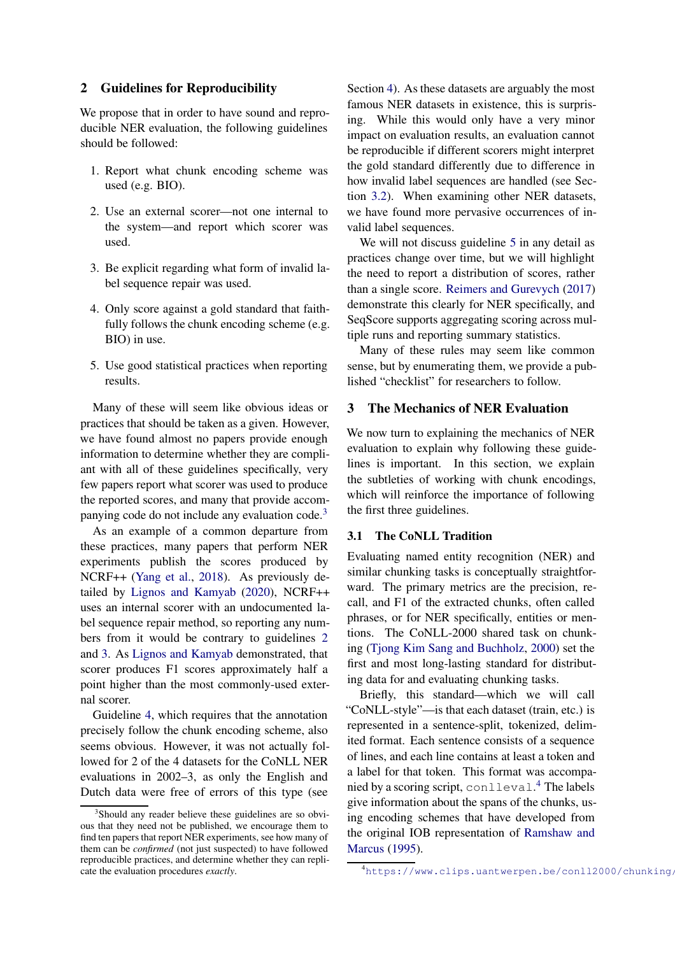# 2 Guidelines for Reproducibility

We propose that in order to have sound and reproducible NER evaluation, the following guidelines should be followed:

- <span id="page-1-1"></span>1. Report what chunk encoding scheme was used (e.g. BIO).
- 2. Use an external scorer—not one internal to the system—and report which scorer was used.
- <span id="page-1-3"></span><span id="page-1-2"></span>3. Be explicit regarding what form of invalid label sequence repair was used.
- 4. Only score against a gold standard that faithfully follows the chunk encoding scheme (e.g. BIO) in use.
- <span id="page-1-4"></span>5. Use good statistical practices when reporting results.

Many of these will seem like obvious ideas or practices that should be taken as a given. However, we have found almost no papers provide enough information to determine whether they are compliant with all of these guidelines specifically, very few papers report what scorer was used to produce the reported scores, and many that provide accompanying code do not include any evaluation code.[3](#page-1-0)

As an example of a common departure from these practices, many papers that perform NER experiments publish the scores produced by NCRF++ [\(Yang et al.](#page-9-4), [2018\)](#page-9-4). As previously detailed by [Lignos and Kamyab](#page-8-3) [\(2020\)](#page-8-3), NCRF++ uses an internal scorer with an undocumented label sequence repair method, so reporting any numbers from it would be contrary to guidelines [2](#page-1-1) and [3.](#page-1-2) As [Lignos and Kamyab](#page-8-3) demonstrated, that scorer produces F1 scores approximately half a point higher than the most commonly-used external scorer.

Guideline [4,](#page-1-3) which requires that the annotation precisely follow the chunk encoding scheme, also seems obvious. However, it was not actually followed for 2 of the 4 datasets for the CoNLL NER evaluations in 2002–3, as only the English and Dutch data were free of errors of this type (see

Section [4\)](#page-3-0). As these datasets are arguably the most famous NER datasets in existence, this is surprising. While this would only have a very minor impact on evaluation results, an evaluation cannot be reproducible if different scorers might interpret the gold standard differently due to difference in how invalid label sequences are handled (see Section [3.2\)](#page-2-0). When examining other NER datasets, we have found more pervasive occurrences of invalid label sequences.

We will not discuss guideline [5](#page-1-4) in any detail as practices change over time, but we will highlight the need to report a distribution of scores, rather than a single score. [Reimers and Gurevych](#page-9-5) [\(2017](#page-9-5)) demonstrate this clearly for NER specifically, and SeqScore supports aggregating scoring across multiple runs and reporting summary statistics.

Many of these rules may seem like common sense, but by enumerating them, we provide a published "checklist" for researchers to follow.

# 3 The Mechanics of NER Evaluation

We now turn to explaining the mechanics of NER evaluation to explain why following these guidelines is important. In this section, we explain the subtleties of working with chunk encodings, which will reinforce the importance of following the first three guidelines.

# 3.1 The CoNLL Tradition

Evaluating named entity recognition (NER) and similar chunking tasks is conceptually straightforward. The primary metrics are the precision, recall, and F1 of the extracted chunks, often called phrases, or for NER specifically, entities or mentions. The CoNLL-2000 shared task on chunking [\(Tjong Kim Sang and Buchholz](#page-9-0), [2000\)](#page-9-0) set the first and most long-lasting standard for distributing data for and evaluating chunking tasks.

Briefly, this standard—which we will call "CoNLL-style"—is that each dataset (train, etc.) is represented in a sentence-split, tokenized, delimited format. Each sentence consists of a sequence of lines, and each line contains at least a token and a label for that token. This format was accompanied by a scoring script, conlleval. [4](#page-1-5) The labels give information about the spans of the chunks, using encoding schemes that have developed from the ori[ginal IOB representation of](#page-9-6) Ramshaw and Marcus [\(1995\)](#page-9-6).

<span id="page-1-0"></span><sup>&</sup>lt;sup>3</sup>Should any reader believe these guidelines are so obvious that they need not be published, we encourage them to find ten papers that report NER experiments, see how many of them can be *confirmed* (not just suspected) to have followed reproducible practices, and determine whether they can replicate the evaluation procedures *exactly*.

<span id="page-1-5"></span> $4$ https://www.clips.uantwerpen.be/conll2000/chunking/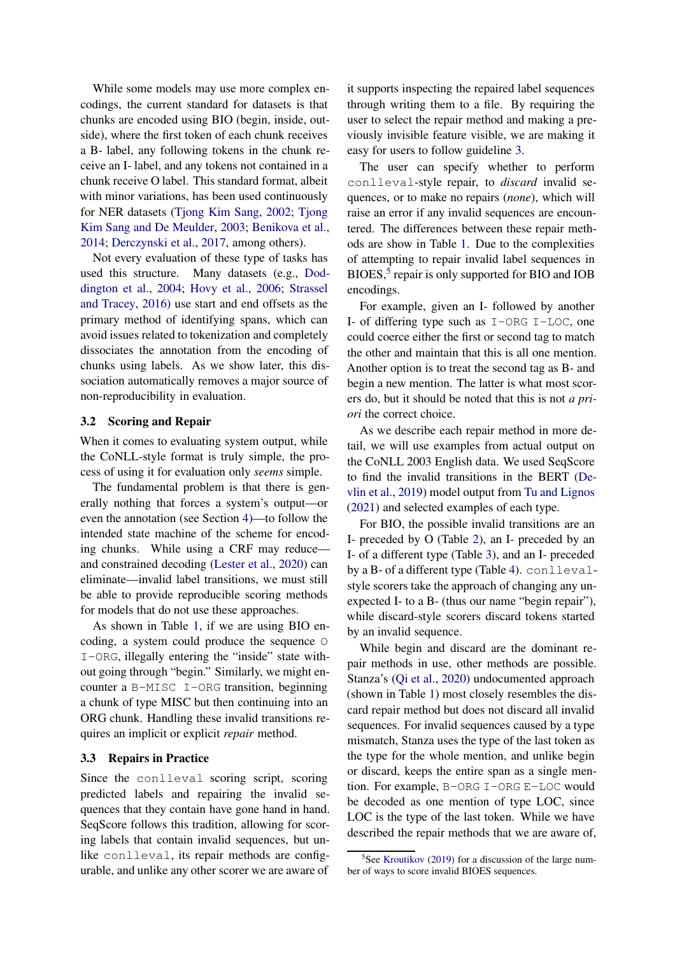While some models may use more complex encodings, the current standard for datasets is that chunks are encoded using BIO (begin, inside, outside), where the first token of each chunk receives a B- label, any following tokens in the chunk receive an I- label, and any tokens not contained in a chunk receive O label. This standard format, albeit with minor variations, has been used continuously for NER datasets [\(Tjong Kim Sang](#page-9-1)[,](#page-9-2) [2002](#page-9-1); Tjong Kim Sang and De Meulder, [2003](#page-9-2); [Benikova et al.,](#page-8-4) [2014;](#page-8-4) [Derczynski et al.,](#page-8-1) [2017](#page-8-1), among others).

Not every evaluation of these type of tasks has used this str[ucture. Many datasets \(e.g.,](#page-8-5) Doddington et al., [2004](#page-8-5); [Hovy et al.](#page-8-6)[,](#page-9-7) [2006;](#page-8-6) Strassel and Tracey, [2016](#page-9-7)) use start and end offsets as the primary method of identifying spans, which can avoid issues related to tokenization and completely dissociates the annotation from the encoding of chunks using labels. As we show later, this dissociation automatically removes a major source of non-reproducibility in evaluation.

# <span id="page-2-0"></span>3.2 Scoring and Repair

When it comes to evaluating system output, while the CoNLL-style format is truly simple, the process of using it for evaluation only *seems* simple.

The fundamental problem is that there is generally nothing that forces a system's output—or even the annotation (see Section [4\)](#page-3-0)—to follow the intended state machine of the scheme for encoding chunks. While using a CRF may reduce and constrained decoding [\(Lester et al.](#page-8-7), [2020](#page-8-7)) can eliminate—invalid label transitions, we must still be able to provide reproducible scoring methods for models that do not use these approaches.

As shown in Table [1,](#page-3-1) if we are using BIO encoding, a system could produce the sequence O I-ORG, illegally entering the "inside" state without going through "begin." Similarly, we might encounter a B-MISC I-ORG transition, beginning a chunk of type MISC but then continuing into an ORG chunk. Handling these invalid transitions requires an implicit or explicit *repair* method.

### 3.3 Repairs in Practice

Since the conlleval scoring script, scoring predicted labels and repairing the invalid sequences that they contain have gone hand in hand. SeqScore follows this tradition, allowing for scoring labels that contain invalid sequences, but unlike conlleval, its repair methods are configurable, and unlike any other scorer we are aware of

it supports inspecting the repaired label sequences through writing them to a file. By requiring the user to select the repair method and making a previously invisible feature visible, we are making it easy for users to follow guideline [3.](#page-1-2)

The user can specify whether to perform conlleval-style repair, to *discard* invalid sequences, or to make no repairs (*none*), which will raise an error if any invalid sequences are encountered. The differences between these repair methods are show in Table [1.](#page-3-1) Due to the complexities of attempting to repair invalid label sequences in BIOES,<sup>[5](#page-2-1)</sup> repair is only supported for BIO and IOB encodings.

For example, given an I- followed by another I- of differing type such as  $I$ -ORG I-LOC, one could coerce either the first or second tag to match the other and maintain that this is all one mention. Another option is to treat the second tag as B- and begin a new mention. The latter is what most scorers do, but it should be noted that this is not *a priori* the correct choice.

As we describe each repair method in more detail, we will use examples from actual output on the CoNLL 2003 English data. We used SeqScore to find t[he invalid transitions in the BERT \(](#page-8-8)Devlin et al., [2019\)](#page-8-8) model output from [Tu and Lignos](#page-9-8) [\(2021\)](#page-9-8) and selected examples of each type.

For BIO, the possible invalid transitions are an I- preceded by O (Table [2\)](#page-3-2), an I- preceded by an I- of a different type (Table [3\)](#page-3-3), and an I- preceded by a B- of a different type (Table [4\)](#page-3-4). conllevalstyle scorers take the approach of changing any unexpected I- to a B- (thus our name "begin repair"), while discard-style scorers discard tokens started by an invalid sequence.

While begin and discard are the dominant repair methods in use, other methods are possible. Stanza's [\(Qi et al.,](#page-8-9) [2020\)](#page-8-9) undocumented approach (shown in Table [1\)](#page-3-1) most closely resembles the discard repair method but does not discard all invalid sequences. For invalid sequences caused by a type mismatch, Stanza uses the type of the last token as the type for the whole mention, and unlike begin or discard, keeps the entire span as a single mention. For example, B-ORG I-ORG E-LOC would be decoded as one mention of type LOC, since LOC is the type of the last token. While we have described the repair methods that we are aware of,

<span id="page-2-1"></span><sup>&</sup>lt;sup>5</sup>See [Kroutikov](#page-8-10) [\(2019\)](#page-8-10) for a discussion of the large number of ways to score invalid BIOES sequences.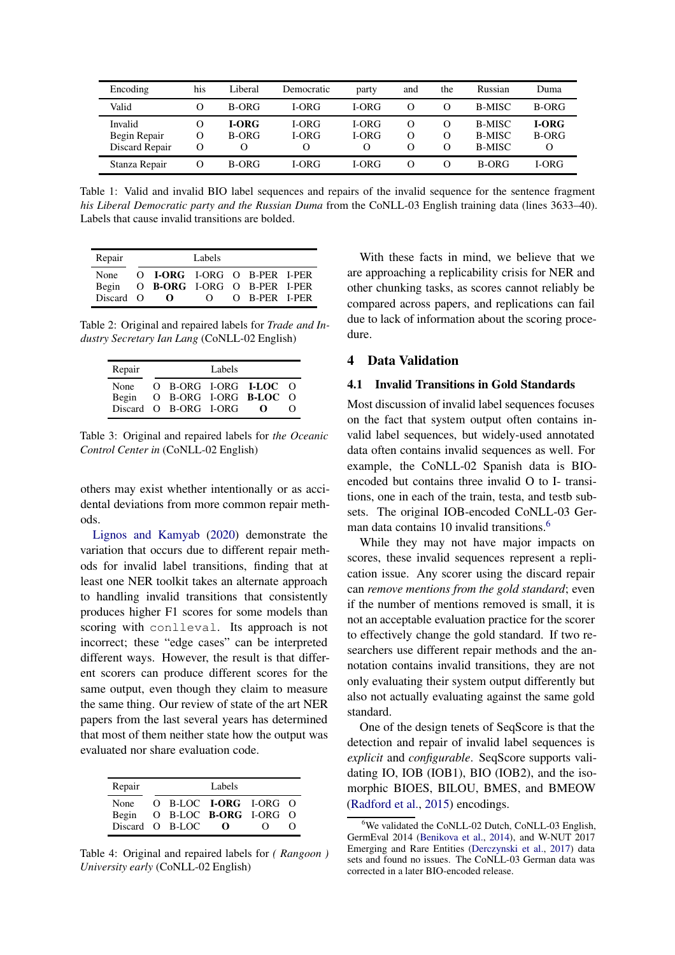<span id="page-3-1"></span>

| Encoding                                  | his                              | Liberal                           | Democratic                 | party                                    | and                | the                       | Russian                                  | Duma                       |
|-------------------------------------------|----------------------------------|-----------------------------------|----------------------------|------------------------------------------|--------------------|---------------------------|------------------------------------------|----------------------------|
| Valid                                     | $^{(1)}$                         | B-ORG                             | <b>I-ORG</b>               | <b>I-ORG</b>                             |                    | $\Omega$                  | <b>B-MISC</b>                            | B-ORG                      |
| Invalid<br>Begin Repair<br>Discard Repair | $\Omega$<br>$\Omega$<br>$\Omega$ | <b>I-ORG</b><br>B-ORG<br>$\Omega$ | <b>I-ORG</b><br>I-ORG<br>O | <b>I-ORG</b><br><b>I-ORG</b><br>$\Omega$ | $\Omega$<br>Ω<br>Ω | O<br>$\Omega$<br>$\Omega$ | <b>B-MISC</b><br>B-MISC<br><b>B-MISC</b> | <b>I-ORG</b><br>B-ORG<br>O |
| Stanza Repair                             | $\lambda$                        | B-ORG                             | <b>I-ORG</b>               | I-ORG                                    | $\Omega$           | $\Omega$                  | B-ORG                                    | <b>I-ORG</b>               |

Table 1: Valid and invalid BIO label sequences and repairs of the invalid sequence for the sentence fragment *his Liberal Democratic party and the Russian Duma* from the CoNLL-03 English training data (lines 3633–40). Labels that cause invalid transitions are bolded.

<span id="page-3-2"></span>

| Repair                     | Labels |                                                                          |          |  |               |  |  |  |  |
|----------------------------|--------|--------------------------------------------------------------------------|----------|--|---------------|--|--|--|--|
| None<br>Begin<br>Discard O |        | O LORG LORG O B-PER L-PER<br>O B-ORG I-ORG O B-PER I-PER<br>$\mathbf{O}$ | $\Omega$ |  | O B-PER I-PER |  |  |  |  |

<span id="page-3-3"></span>Table 2: Original and repaired labels for *Trade and Industry Secretary Ian Lang* (CoNLL-02 English)

| Repair |                       | Labels |                           |  |
|--------|-----------------------|--------|---------------------------|--|
| None   |                       |        | $O$ B-ORG I-ORG I-LOC $O$ |  |
| Begin  |                       |        | O B-ORG I-ORG B-LOC O     |  |
|        | Discard O B-ORG I-ORG |        | - 0                       |  |

Table 3: Original and repaired labels for *the Oceanic Control Center in* (CoNLL-02 English)

others may exist whether intentionally or as accidental deviations from more common repair meth[ods.](#page-8-3)

Lignos and Kamyab [\(2020](#page-8-3)) demonstrate the variation that occurs due to different repair methods for invalid label transitions, finding that at least one NER toolkit takes an alternate approach to handling invalid transitions that consistently produces higher F1 scores for some models than scoring with conlleval. Its approach is not incorrect; these "edge cases" can be interpreted different ways. However, the result is that different scorers can produce different scores for the same output, even though they claim to measure the same thing. Our review of state of the art NER papers from the last several years has determined that most of them neither state how the output was evaluated nor share evaluation code.

<span id="page-3-4"></span>

| Repair |                 | Labels                       |           |  |
|--------|-----------------|------------------------------|-----------|--|
| None   |                 | O B-LOC <b>I-ORG</b> I-ORG O |           |  |
| Begin  |                 | O B-LOC B-ORG I-ORG O        |           |  |
|        | Discard O B-LOC | റ                            | $\lambda$ |  |

Table 4: Original and repaired labels for *( Rangoon ) University early* (CoNLL-02 English)

With these facts in mind, we believe that we are approaching a replicability crisis for NER and other chunking tasks, as scores cannot reliably be compared across papers, and replications can fail due to lack of information about the scoring procedure.

# <span id="page-3-0"></span>4 Data Validation

# 4.1 Invalid Transitions in Gold Standards

Most discussion of invalid label sequences focuses on the fact that system output often contains invalid label sequences, but widely-used annotated data often contains invalid sequences as well. For example, the CoNLL-02 Spanish data is BIOencoded but contains three invalid O to I- transitions, one in each of the train, testa, and testb subsets. The original IOB-encoded CoNLL-03 Ger-man data contains 10 invalid transitions.<sup>[6](#page-3-5)</sup>

While they may not have major impacts on scores, these invalid sequences represent a replication issue. Any scorer using the discard repair can *remove mentions from the gold standard*; even if the number of mentions removed is small, it is not an acceptable evaluation practice for the scorer to effectively change the gold standard. If two researchers use different repair methods and the annotation contains invalid transitions, they are not only evaluating their system output differently but also not actually evaluating against the same gold standard.

One of the design tenets of SeqScore is that the detection and repair of invalid label sequences is *explicit* and *configurable*. SeqScore supports validating IO, IOB (IOB1), BIO (IOB2), and the isomorphic BIOES, BILOU, BMES, and BMEOW [\(Radford et al.](#page-9-9), [2015](#page-9-9)) encodings.

<span id="page-3-5"></span>We validated the CoNLL-02 Dutch, CoNLL-03 English, GermEval 2014 [\(Benikova et al.](#page-8-4), [2014](#page-8-4)), and W-NUT 2017 Emerging and Rare Entities [\(Derczynski et al.](#page-8-1), [2017\)](#page-8-1) data sets and found no issues. The CoNLL-03 German data was corrected in a later BIO-encoded release.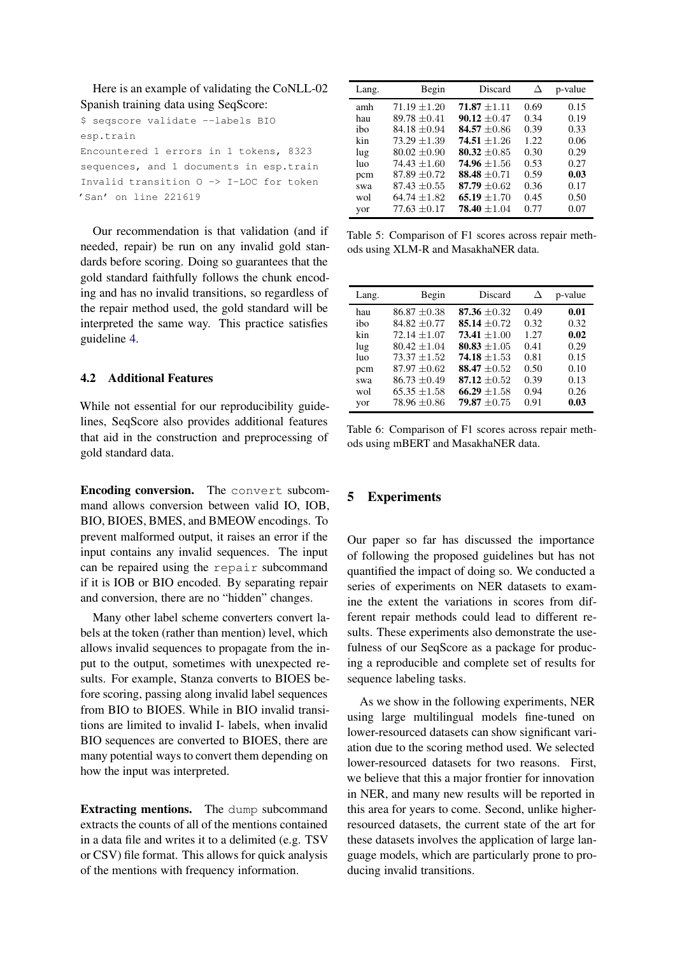Here is an example of validating the CoNLL-02 Spanish training data using SeqScore:

\$ seqscore validate --labels BIO esp.train Encountered 1 errors in 1 tokens, 8323 sequences, and 1 documents in esp.train Invalid transition O -> I-LOC for token 'San' on line 221619

Our recommendation is that validation (and if needed, repair) be run on any invalid gold standards before scoring. Doing so guarantees that the gold standard faithfully follows the chunk encoding and has no invalid transitions, so regardless of the repair method used, the gold standard will be interpreted the same way. This practice satisfies guideline [4.](#page-1-3)

# 4.2 Additional Features

While not essential for our reproducibility guidelines, SeqScore also provides additional features that aid in the construction and preprocessing of gold standard data.

Encoding conversion. The convert subcommand allows conversion between valid IO, IOB, BIO, BIOES, BMES, and BMEOW encodings. To prevent malformed output, it raises an error if the input contains any invalid sequences. The input can be repaired using the repair subcommand if it is IOB or BIO encoded. By separating repair and conversion, there are no "hidden" changes.

Many other label scheme converters convert labels at the token (rather than mention) level, which allows invalid sequences to propagate from the input to the output, sometimes with unexpected results. For example, Stanza converts to BIOES before scoring, passing along invalid label sequences from BIO to BIOES. While in BIO invalid transitions are limited to invalid I- labels, when invalid BIO sequences are converted to BIOES, there are many potential ways to convert them depending on how the input was interpreted.

Extracting mentions. The dump subcommand extracts the counts of all of the mentions contained in a data file and writes it to a delimited (e.g. TSV or CSV) file format. This allows for quick analysis of the mentions with frequency information.

<span id="page-4-0"></span>

| Lang. | Begin            | Discard          | Δ     | p-value |
|-------|------------------|------------------|-------|---------|
| amh   | $71.19 \pm 1.20$ | $71.87 + 1.11$   | 0.69  | 0.15    |
| hau   | $89.78 \pm 0.41$ | 90.12 $\pm 0.47$ | 0.34  | 0.19    |
| ibo   | $84.18 \pm 0.94$ | 84.57 $\pm 0.86$ | 0.39  | 0.33    |
| kin   | $73.29 \pm 1.39$ | $74.51 + 1.26$   | 1.22. | 0.06    |
| lug   | $80.02 \pm 0.90$ | 80.32 $\pm 0.85$ | 0.30  | 0.29    |
| luo   | $74.43 \pm 1.60$ | 74.96 $\pm 1.56$ | 0.53  | 0.27    |
| pcm   | $87.89 \pm 0.72$ | 88.48 $\pm 0.71$ | 0.59  | 0.03    |
| swa   | $87.43 \pm 0.55$ | 87.79 $\pm 0.62$ | 0.36  | 0.17    |
| wol   | $64.74 + 1.82$   | $65.19 + 1.70$   | 0.45  | 0.50    |
| yor   | $77.63 + 0.17$   | $78.40 + 1.04$   | 0.77  | 0.07    |

Table 5: Comparison of F1 scores across repair methods using XLM-R and MasakhaNER data.

<span id="page-4-1"></span>

| Lang. | Begin            | Discard          | Л    | p-value |
|-------|------------------|------------------|------|---------|
| hau   | $86.87 \pm 0.38$ | 87.36 $\pm 0.32$ | 0.49 | 0.01    |
| ibo   | $84.82 \pm 0.77$ | $85.14 + 0.72$   | 0.32 | 0.32    |
| kin   | $72.14 + 1.07$   | $73.41 + 1.00$   | 1.27 | 0.02    |
| lug   | $80.42 + 1.04$   | 80.83 $\pm 1.05$ | 0.41 | 0.29    |
| luo   | $73.37 + 1.52$   | 74.18 $\pm 1.53$ | 0.81 | 0.15    |
| pcm   | $87.97 \pm 0.62$ | $88.47 + 0.52$   | 0.50 | 0.10    |
| swa   | $86.73 \pm 0.49$ | $87.12 + 0.52$   | 0.39 | 0.13    |
| wol   | $65.35 \pm 1.58$ | $66.29 + 1.58$   | 0.94 | 0.26    |
| vor   | $78.96 \pm 0.86$ | $79.87 + 0.75$   | 0.91 | 0.03    |

Table 6: Comparison of F1 scores across repair methods using mBERT and MasakhaNER data.

# 5 Experiments

Our paper so far has discussed the importance of following the proposed guidelines but has not quantified the impact of doing so. We conducted a series of experiments on NER datasets to examine the extent the variations in scores from different repair methods could lead to different results. These experiments also demonstrate the usefulness of our SeqScore as a package for producing a reproducible and complete set of results for sequence labeling tasks.

As we show in the following experiments, NER using large multilingual models fine-tuned on lower-resourced datasets can show significant variation due to the scoring method used. We selected lower-resourced datasets for two reasons. First, we believe that this a major frontier for innovation in NER, and many new results will be reported in this area for years to come. Second, unlike higherresourced datasets, the current state of the art for these datasets involves the application of large language models, which are particularly prone to producing invalid transitions.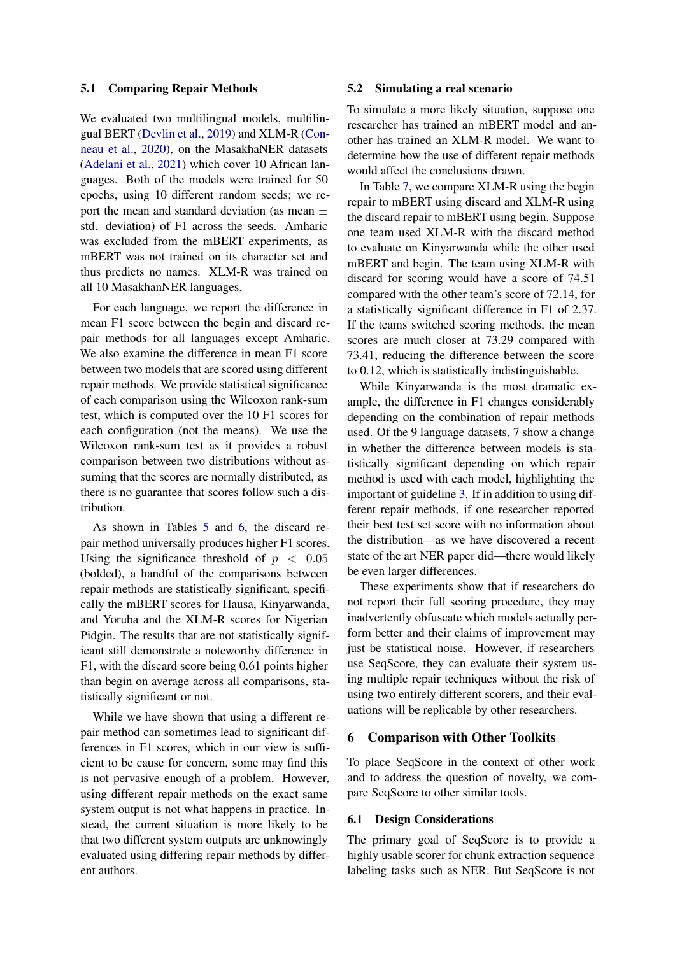#### 5.1 Comparing Repair Methods

We evaluated two multilingual models, multilingual BERT [\(Devlin et al.](#page-8-8), [2019](#page-8-8)[\) and XLM-R \(](#page-8-11)Conneau et al., [2020](#page-8-11)), on the MasakhaNER datasets [\(Adelani et al.](#page-8-12), [2021](#page-8-12)) which cover 10 African languages. Both of the models were trained for 50 epochs, using 10 different random seeds; we report the mean and standard deviation (as mean  $\pm$ std. deviation) of F1 across the seeds. Amharic was excluded from the mBERT experiments, as mBERT was not trained on its character set and thus predicts no names. XLM-R was trained on all 10 MasakhanNER languages.

For each language, we report the difference in mean F1 score between the begin and discard repair methods for all languages except Amharic. We also examine the difference in mean F1 score between two models that are scored using different repair methods. We provide statistical significance of each comparison using the Wilcoxon rank-sum test, which is computed over the 10 F1 scores for each configuration (not the means). We use the Wilcoxon rank-sum test as it provides a robust comparison between two distributions without assuming that the scores are normally distributed, as there is no guarantee that scores follow such a distribution.

As shown in Tables [5](#page-4-0) and [6,](#page-4-1) the discard repair method universally produces higher F1 scores. Using the significance threshold of  $p < 0.05$ (bolded), a handful of the comparisons between repair methods are statistically significant, specifically the mBERT scores for Hausa, Kinyarwanda, and Yoruba and the XLM-R scores for Nigerian Pidgin. The results that are not statistically significant still demonstrate a noteworthy difference in F1, with the discard score being 0.61 points higher than begin on average across all comparisons, statistically significant or not.

While we have shown that using a different repair method can sometimes lead to significant differences in F1 scores, which in our view is sufficient to be cause for concern, some may find this is not pervasive enough of a problem. However, using different repair methods on the exact same system output is not what happens in practice. Instead, the current situation is more likely to be that two different system outputs are unknowingly evaluated using differing repair methods by different authors.

#### 5.2 Simulating a real scenario

To simulate a more likely situation, suppose one researcher has trained an mBERT model and another has trained an XLM-R model. We want to determine how the use of different repair methods would affect the conclusions drawn.

In Table [7,](#page-6-0) we compare XLM-R using the begin repair to mBERT using discard and XLM-R using the discard repair to mBERT using begin. Suppose one team used XLM-R with the discard method to evaluate on Kinyarwanda while the other used mBERT and begin. The team using XLM-R with discard for scoring would have a score of 74.51 compared with the other team's score of 72.14, for a statistically significant difference in F1 of 2.37. If the teams switched scoring methods, the mean scores are much closer at 73.29 compared with 73.41, reducing the difference between the score to 0.12, which is statistically indistinguishable.

While Kinyarwanda is the most dramatic example, the difference in F1 changes considerably depending on the combination of repair methods used. Of the 9 language datasets, 7 show a change in whether the difference between models is statistically significant depending on which repair method is used with each model, highlighting the important of guideline [3.](#page-1-2) If in addition to using different repair methods, if one researcher reported their best test set score with no information about the distribution—as we have discovered a recent state of the art NER paper did—there would likely be even larger differences.

These experiments show that if researchers do not report their full scoring procedure, they may inadvertently obfuscate which models actually perform better and their claims of improvement may just be statistical noise. However, if researchers use SeqScore, they can evaluate their system using multiple repair techniques without the risk of using two entirely different scorers, and their evaluations will be replicable by other researchers.

#### 6 Comparison with Other Toolkits

To place SeqScore in the context of other work and to address the question of novelty, we compare SeqScore to other similar tools.

#### 6.1 Design Considerations

The primary goal of SeqScore is to provide a highly usable scorer for chunk extraction sequence labeling tasks such as NER. But SeqScore is not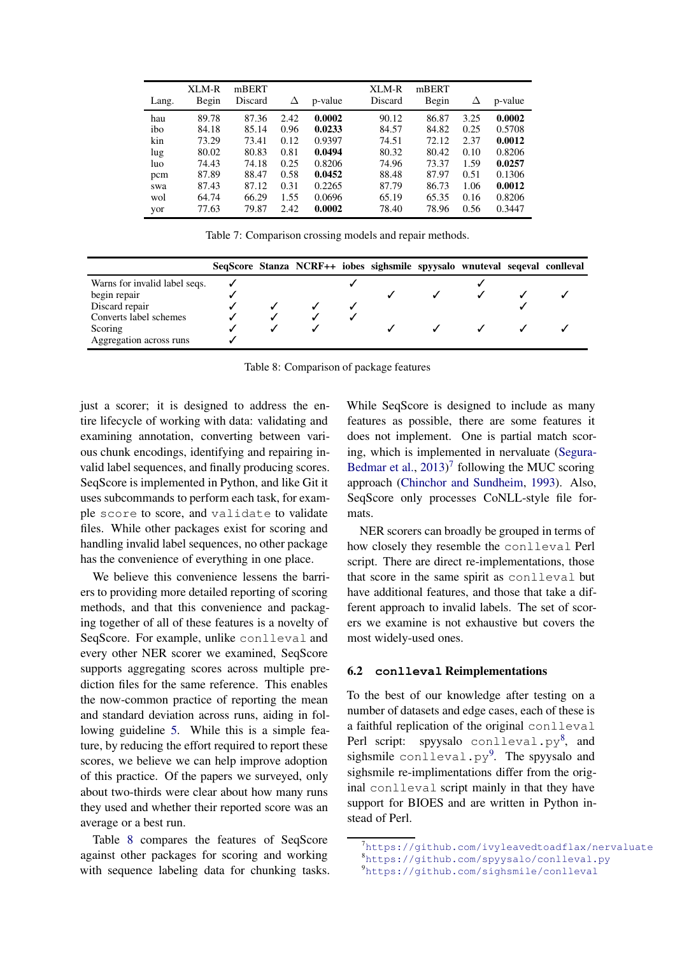<span id="page-6-0"></span>

| Lang. | XLM-R<br>Begin | mBERT<br>Discard | Δ    | p-value | XLM-R<br>Discard | mBERT<br>Begin | Δ    | p-value |
|-------|----------------|------------------|------|---------|------------------|----------------|------|---------|
| hau   | 89.78          | 87.36            | 2.42 | 0.0002  | 90.12            | 86.87          | 3.25 | 0.0002  |
| ibo   | 84.18          | 85.14            | 0.96 | 0.0233  | 84.57            | 84.82          | 0.25 | 0.5708  |
| kin   | 73.29          | 73.41            | 0.12 | 0.9397  | 74.51            | 72.12          | 2.37 | 0.0012  |
| lug   | 80.02          | 80.83            | 0.81 | 0.0494  | 80.32            | 80.42          | 0.10 | 0.8206  |
| luo   | 74.43          | 74.18            | 0.25 | 0.8206  | 74.96            | 73.37          | 1.59 | 0.0257  |
| pcm   | 87.89          | 88.47            | 0.58 | 0.0452  | 88.48            | 87.97          | 0.51 | 0.1306  |
| swa   | 87.43          | 87.12            | 0.31 | 0.2265  | 87.79            | 86.73          | 1.06 | 0.0012  |
| wol   | 64.74          | 66.29            | 1.55 | 0.0696  | 65.19            | 65.35          | 0.16 | 0.8206  |
| yor   | 77.63          | 79.87            | 2.42 | 0.0002  | 78.40            | 78.96          | 0.56 | 0.3447  |

Table 7: Comparison crossing models and repair methods.

<span id="page-6-1"></span>

|                               |  |  | SeqScore Stanza NCRF++ iobes sighsmile spyysalo wnuteval seqeval conlleval |  |  |
|-------------------------------|--|--|----------------------------------------------------------------------------|--|--|
| Warns for invalid label seqs. |  |  |                                                                            |  |  |
| begin repair                  |  |  |                                                                            |  |  |
| Discard repair                |  |  |                                                                            |  |  |
| Converts label schemes        |  |  |                                                                            |  |  |
| Scoring                       |  |  |                                                                            |  |  |
| Aggregation across runs       |  |  |                                                                            |  |  |

Table 8: Comparison of package features

just a scorer; it is designed to address the entire lifecycle of working with data: validating and examining annotation, converting between various chunk encodings, identifying and repairing invalid label sequences, and finally producing scores. SeqScore is implemented in Python, and like Git it uses subcommands to perform each task, for example score to score, and validate to validate files. While other packages exist for scoring and handling invalid label sequences, no other package has the convenience of everything in one place.

We believe this convenience lessens the barriers to providing more detailed reporting of scoring methods, and that this convenience and packaging together of all of these features is a novelty of SeqScore. For example, unlike conlleval and every other NER scorer we examined, SeqScore supports aggregating scores across multiple prediction files for the same reference. This enables the now-common practice of reporting the mean and standard deviation across runs, aiding in following guideline [5.](#page-1-4) While this is a simple feature, by reducing the effort required to report these scores, we believe we can help improve adoption of this practice. Of the papers we surveyed, only about two-thirds were clear about how many runs they used and whether their reported score was an average or a best run.

Table [8](#page-6-1) compares the features of SeqScore against other packages for scoring and working with sequence labeling data for chunking tasks. While SeqScore is designed to include as many features as possible, there are some features it does not implement. One is partial match scoring, which is [implemented in nervaluate \(](#page-9-3)Segura-Bedmar et al., [2013](#page-9-3))<sup>[7](#page-6-2)</sup> following the MUC scoring approach [\(Chinchor and Sundheim](#page-8-13), [1993](#page-8-13)). Also, SeqScore only processes CoNLL-style file formats.

NER scorers can broadly be grouped in terms of how closely they resemble the conlleval Perl script. There are direct re-implementations, those that score in the same spirit as conlleval but have additional features, and those that take a different approach to invalid labels. The set of scorers we examine is not exhaustive but covers the most widely-used ones.

#### 6.2 **conlleval** Reimplementations

To the best of our knowledge after testing on a number of datasets and edge cases, each of these is a faithful replication of the original conlleval Perl script: spyysalo <code>conlleval.py</code><sup>[8](#page-6-3)</sup>, and sighsmile conlleval.py<sup>[9](#page-6-4)</sup>. The spyysalo and sighsmile re-implimentations differ from the original conlleval script mainly in that they have support for BIOES and are written in Python instead of Perl.

<sup>&</sup>lt;sup>7</sup><https://github.com/ivyleavedtoadflax/nervaluate> <sup>8</sup><https://github.com/spyysalo/conlleval.py>

<span id="page-6-4"></span><span id="page-6-3"></span><span id="page-6-2"></span><sup>9</sup><https://github.com/sighsmile/conlleval>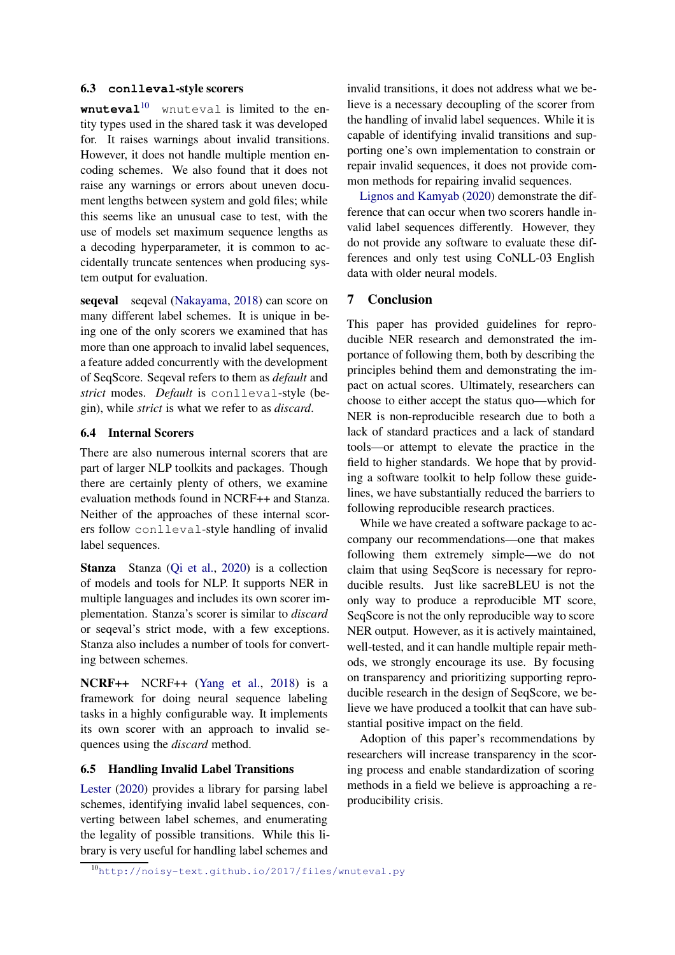#### 6.3 **conlleval**-style scorers

**wnuteval**<sup>[10](#page-7-0)</sup> wnuteval is limited to the entity types used in the shared task it was developed for. It raises warnings about invalid transitions. However, it does not handle multiple mention encoding schemes. We also found that it does not raise any warnings or errors about uneven document lengths between system and gold files; while this seems like an unusual case to test, with the use of models set maximum sequence lengths as a decoding hyperparameter, it is common to accidentally truncate sentences when producing system output for evaluation.

seqeval seqeval [\(Nakayama](#page-8-14), [2018\)](#page-8-14) can score on many different label schemes. It is unique in being one of the only scorers we examined that has more than one approach to invalid label sequences, a feature added concurrently with the development of SeqScore. Seqeval refers to them as *default* and *strict* modes. *Default* is conlleval-style (begin), while *strict* is what we refer to as *discard*.

# 6.4 Internal Scorers

There are also numerous internal scorers that are part of larger NLP toolkits and packages. Though there are certainly plenty of others, we examine evaluation methods found in NCRF++ and Stanza. Neither of the approaches of these internal scorers follow conlleval-style handling of invalid label sequences.

Stanza Stanza [\(Qi et al.](#page-8-9), [2020](#page-8-9)) is a collection of models and tools for NLP. It supports NER in multiple languages and includes its own scorer implementation. Stanza's scorer is similar to *discard* or seqeval's strict mode, with a few exceptions. Stanza also includes a number of tools for converting between schemes.

NCRF++ NCRF++ [\(Yang et al.](#page-9-4), [2018](#page-9-4)) is a framework for doing neural sequence labeling tasks in a highly configurable way. It implements its own scorer with an approach to invalid sequences using the *discard* method.

# 6.5 Handling Invalid Label Transitions

Lester [\(2020\)](#page-8-15) provides a library for parsing label schemes, identifying invalid label sequences, converting between label schemes, and enumerating the legality of possible transitions. While this library is very useful for handling label schemes and

invalid transitions, it does not address what we believe is a necessary decoupling of the scorer from the handling of invalid label sequences. While it is capable of identifying invalid transitions and supporting one's own implementation to constrain or repair invalid sequences, it does not provide com[mon methods for repai](#page-8-3)ring invalid sequences.

Lignos and Kamyab [\(2020\)](#page-8-3) demonstrate the difference that can occur when two scorers handle invalid label sequences differently. However, they do not provide any software to evaluate these differences and only test using CoNLL-03 English data with older neural models.

# 7 Conclusion

This paper has provided guidelines for reproducible NER research and demonstrated the importance of following them, both by describing the principles behind them and demonstrating the impact on actual scores. Ultimately, researchers can choose to either accept the status quo—which for NER is non-reproducible research due to both a lack of standard practices and a lack of standard tools—or attempt to elevate the practice in the field to higher standards. We hope that by providing a software toolkit to help follow these guidelines, we have substantially reduced the barriers to following reproducible research practices.

While we have created a software package to accompany our recommendations—one that makes following them extremely simple—we do not claim that using SeqScore is necessary for reproducible results. Just like sacreBLEU is not the only way to produce a reproducible MT score, SeqScore is not the only reproducible way to score NER output. However, as it is actively maintained, well-tested, and it can handle multiple repair methods, we strongly encourage its use. By focusing on transparency and prioritizing supporting reproducible research in the design of SeqScore, we believe we have produced a toolkit that can have substantial positive impact on the field.

Adoption of this paper's recommendations by researchers will increase transparency in the scoring process and enable standardization of scoring methods in a field we believe is approaching a reproducibility crisis.

<span id="page-7-0"></span><sup>10</sup><http://noisy-text.github.io/2017/files/wnuteval.py>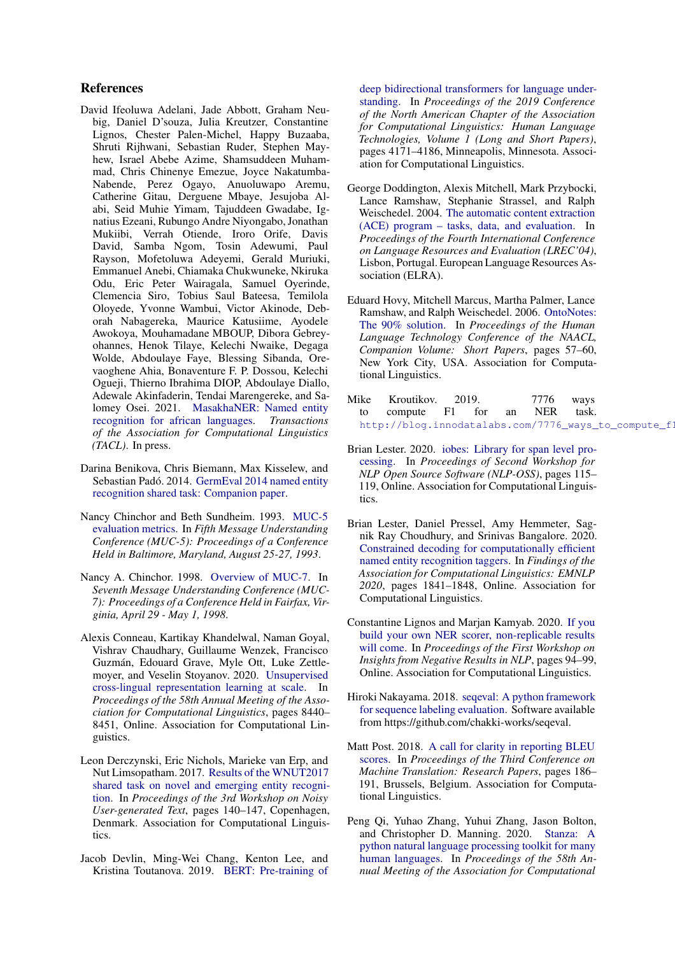# References

- <span id="page-8-12"></span>David Ifeoluwa Adelani, Jade Abbott, Graham Neubig, Daniel D'souza, Julia Kreutzer, Constantine Lignos, Chester Palen-Michel, Happy Buzaaba, Shruti Rijhwani, Sebastian Ruder, Stephen Mayhew, Israel Abebe Azime, Shamsuddeen Muhammad, Chris Chinenye Eme[zue, Joyce Nakatumba-](https://doi.org/10.18653/v1/N19-1423)Nabende, Perez Ogayo, Anuoluwapo Aremu, Catherine Gitau, Derguene Mbaye, Jesujoba Alabi, Seid Muhie Yimam, Tajuddeen Gwadabe, Ignatius Ezeani, Rubungo Andre Niyongabo, Jonathan Mukiibi, Verrah Otiende, Iroro Orife, Davis David, Samba Ngom, Tosin Adewumi, Paul Rayson, Mofetoluwa Adeyemi, Gerald Muriuki, Emmanuel Anebi, Chiamaka Chukwuneke, Nkiruka Odu, Eric Peter Wairagala, Samuel Oyerinde, Clemencia Siro, Tobius Saul Bateesa, Temilola Oloyede, Yvonne Wambui, Victor Akinode, Deborah Nabagereka, Maurice Katusiime, Ayodele Awokoya, Mouhamadane MBOUP, Dibora Gebreyohannes, Henok Tilaye, Kelechi Nwaike, Degaga Wolde, Abdoulaye Faye, Blessing Sibanda, Orevaoghene Ahia, Bonaventure F. P. Dossou, Kelechi Ogueji, Thierno Ibrahima DIOP, Abdoulaye Diallo, Adewale Akinfaderin, Tendai Marengereke, and Salomey Osei. 2021. MasakhaNER: Named entity recognition for african languages. *Transactions of the Association for Computational Linguistics (TACL)*. In press.
- <span id="page-8-4"></span>Darina Benikova, Chris Biemann, Max Kisselew, and Sebastian Padó. 2014. GermEval 2014 named entity recognition shared tas[k: Companion paper.](http://nbn-resolving.de/urn:nbn:de:gbv:hil2-opus-3006)
- <span id="page-8-13"></span>Nancy Chinchor and [Beth Sundheim. 1993.](https://www.aclweb.org/anthology/M93-1007) MUC-5 evaluation metrics. In *Fifth Message Understanding Conference (MUC-5): Proceedings of a Conference Held in Baltimore, Maryland, August 25-27, 1993*.
- <span id="page-8-0"></span>Nancy A. Chinchor. 1998. [Overview of MUC-7.](https://www.aclweb.org/anthology/M98-1001) In *Seventh Message Understanding Conference (MUC-7): Proceedings of a Conference Held in Fairfax, Virginia, April 29 - May 1, 1998*.
- <span id="page-8-11"></span>Alexis Conneau, Kartikay Khandelwal, Naman Goyal, Vishrav Chaudhary, Guillaume Wenzek, Francisco Guzmán, Edouard Grave, Myle Ott, Luke Zettlemoyer, and Veselin Stoyanov. 2020. Unsupervised cross-lingual representation learning at scale. In *Proceedings of the 58th Annual Meeting of the Association for Computational Linguistics*, pages 8440– 8451, Online. Association for Computational Linguistics.
- <span id="page-8-1"></span>Leon Derczynski, Eric Nichols, Marieke van Erp, and Nut Limsopatham. 2017. Results of the WNUT2017 sha[red task on novel and](https://doi.org/10.18653/v1/W17-4418) emerging entity recognition. In *Proceedings of the 3rd Workshop on Noisy User-generated Text*, pages 140–147, Copenhagen, Denmark. Association for Computational Linguistics.
- <span id="page-8-8"></span>Jacob Devlin, Ming-Wei Chang, Kenton Lee, and Kristina Toutanova. 2019. BERT: Pre-training of

deep bidirectional transformers for language understanding. In *Proceedings of the 2019 Conference of the North American Chapter of the Association for Computational Linguistics: Human Language Technologies, Volume 1 (Long and Short Papers)*, pages 4171–4186, Minneapolis, Minnesota. Association for Computational Linguistics.

- <span id="page-8-5"></span>George Doddington, Alexis Mitchell, Mark Przybocki, Lance Ramshaw, Stephanie Strassel, and Ralph Weischedel. 2004. The automatic content extraction (ACE) program – tasks, data, and evaluation. In *Proceedings of the Fourth International Conference on Language Resources and Evaluation (LREC'04)*, Lisbon, Portugal. European Language Resources Association (ELRA).
- <span id="page-8-6"></span>Eduard Hovy, Mitchell Marcus, Martha Palmer, Lance Ramshaw, and Ral[ph Weischedel. 2006.](https://www.aclweb.org/anthology/N06-2015) OntoNotes: The 90% solution. In *Proceedings of the Human Language Technology Conference of the NAACL, Companion Volume: Short Papers*, pages 57–60, New York City, USA. Association for Computational Linguistics.
- <span id="page-8-10"></span>Mike Kroutikov. 2019. 7776 ways to compute F1 for an NER task. http://blog.innodatalabs.com/7776\_ways\_to\_compute\_f1
- <span id="page-8-15"></span>Brian Lester. 2020. iobes: Library for span level processing. In *Proceedings of Second Workshop for NLP Open Source Software (NLP-OSS)*, pages 115– 119, Online. Association for Computational Linguistics.
- <span id="page-8-7"></span>Brian Lester, Daniel Pressel, Amy Hemmeter, Sagnik Ray Choudhury, and Srinivas Bangalore. 2020. Constrained decoding for computationally efficient named entity recognition taggers. In *Findings of the Association for Computational Linguistics: EMNLP 2020*, pages 1841–1848, Online. Association for Computational Linguistics.
- <span id="page-8-3"></span>Constantine Lignos and Marjan Kamyab. 2020. If you build you[r own NER scorer, non-replicable r](https://doi.org/10.18653/v1/2020.insights-1.15)esults will come. In *Proceedings of the First Workshop on Insights from Negative Results in NLP*, pages 94–99, Online. Association for Computational Linguistics.
- <span id="page-8-14"></span>Hiroki Nakayama. 2018. seqeval: A python framework for sequence labeling evaluation. Software available from https://github.com/chakki-works/seqeval.
- <span id="page-8-2"></span>Matt Post. 2018. A call for clarity in reporting BLEU scores. In *Proceedings of the Third Conference on Machine Translation: Research Papers*, pages 186– 191, Brussels, Belgium. Association for Computational Linguistics.
- <span id="page-8-9"></span>Peng Qi, Yuhao Zhang, Yuhui Zhang, Jason Bolton, and Christopher D. Manning. 2020. Stanza: A python natural la[nguage processing toolk](https://doi.org/10.18653/v1/2020.acl-demos.14)it for many human languages. In *Proceedings of the 58th Annual Meeting of the Association for Computational*